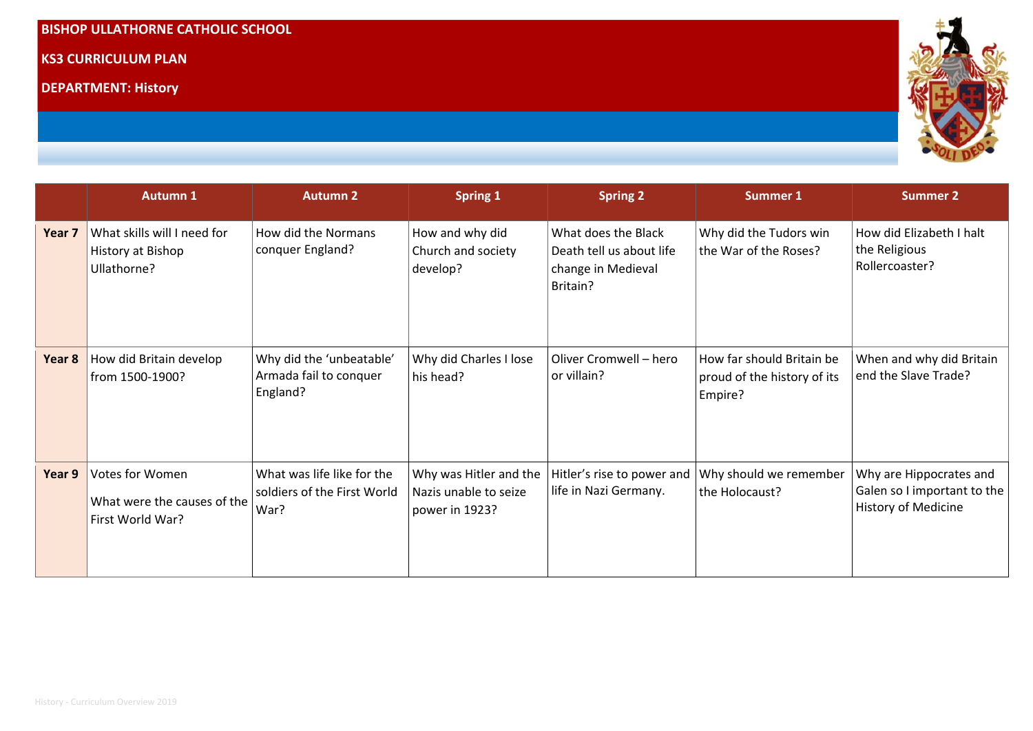## **BISHOP ULLATHORNE CATHOLIC SCHOOL**

### **KS3 CURRICULUM PLAN**

**DEPARTMENT: History** 



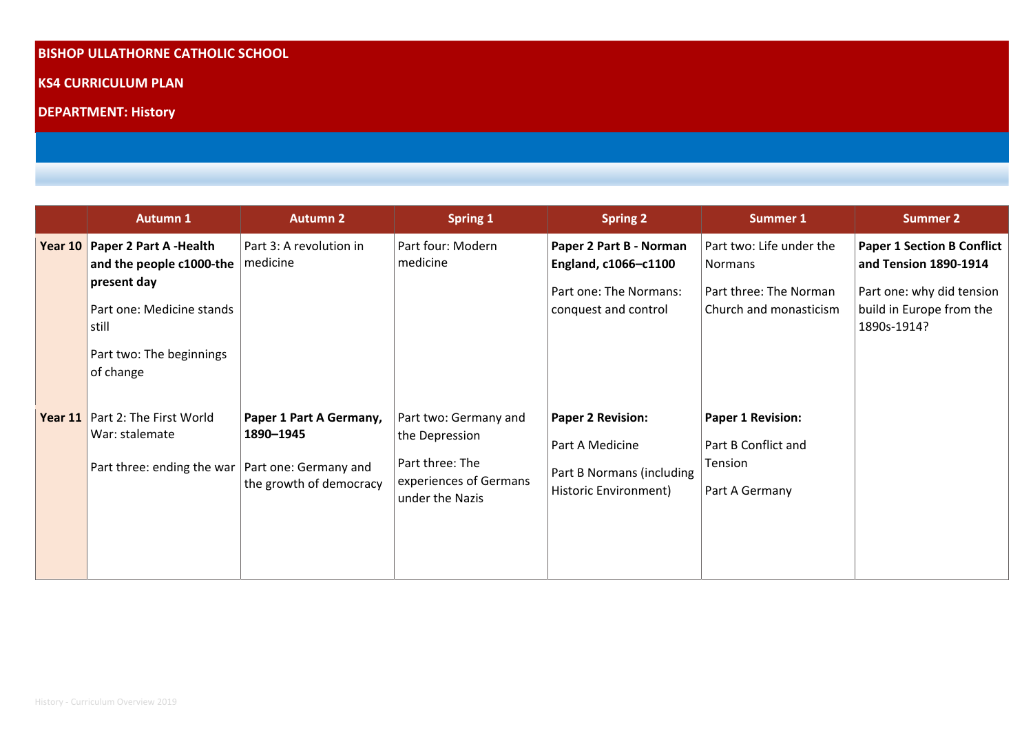# **BISHOP ULLATHORNE CATHOLIC SCHOOL**

**KS4 CURRICULUM PLAN** 

**DEPARTMENT: History** 

|           | <b>Autumn 1</b>                                                                                                                                             | <b>Autumn 2</b>                                                 | <b>Spring 1</b>                                                                                         | <b>Spring 2</b>                                                                                   | <b>Summer 1</b>                                                                         | <b>Summer 2</b>                                                                                                                    |
|-----------|-------------------------------------------------------------------------------------------------------------------------------------------------------------|-----------------------------------------------------------------|---------------------------------------------------------------------------------------------------------|---------------------------------------------------------------------------------------------------|-----------------------------------------------------------------------------------------|------------------------------------------------------------------------------------------------------------------------------------|
| Year $10$ | Paper 2 Part A -Health<br>and the people c1000-the   medicine<br>present day<br>Part one: Medicine stands<br>still<br>Part two: The beginnings<br>of change | Part 3: A revolution in                                         | Part four: Modern<br>medicine                                                                           | Paper 2 Part B - Norman<br>England, c1066-c1100<br>Part one: The Normans:<br>conquest and control | Part two: Life under the<br>Normans<br>Part three: The Norman<br>Church and monasticism | <b>Paper 1 Section B Conflict</b><br>and Tension 1890-1914<br>Part one: why did tension<br>build in Europe from the<br>1890s-1914? |
| Year $11$ | Part 2: The First World<br>War: stalemate<br>Part three: ending the war   Part one: Germany and                                                             | Paper 1 Part A Germany,<br>1890-1945<br>the growth of democracy | Part two: Germany and<br>the Depression<br>Part three: The<br>experiences of Germans<br>under the Nazis | <b>Paper 2 Revision:</b><br>Part A Medicine<br>Part B Normans (including<br>Historic Environment) | <b>Paper 1 Revision:</b><br>Part B Conflict and<br>Tension<br>Part A Germany            |                                                                                                                                    |